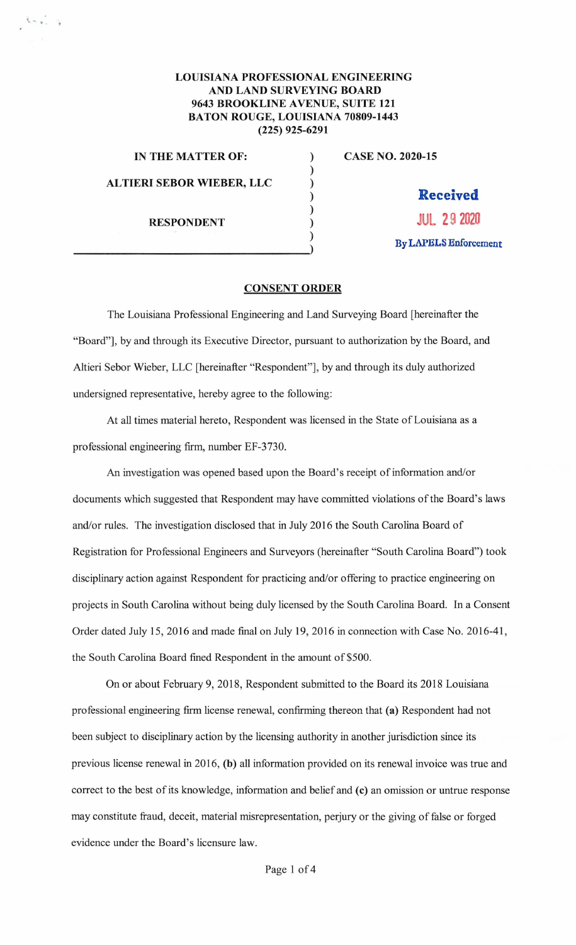## **LOUISIANA PROFESSIONAL ENGINEERING AND LAND SURVEYING BOARD 9643 BROOKLINE A VENUE, SUITE 121 BATON ROUGE, LOUISIANA 70809-1443 (225) 925-6291**

) ) ) ) )

**IN THE MATTER OF:** )

 $\mathcal{L} \sim \mathcal{L}$  , by

**ALTIERI SEBOR WIEBER, LLC** 

**RESPONDENT**  )<br>()<br>() **CASE NO. 2020-15** 

**Received JUL 29 2020 By LAPELS Enforcement** 

## **CONSENT ORDER**

The Louisiana Professional Engineering and Land Surveying Board [hereinafter the "Board"], by and through its Executive Director, pursuant to authorization by the Board, and Altieri Sebor Wieber, LLC [hereinafter "Respondent"], by and through its duly authorized undersigned representative, hereby agree to the following:

At all times material hereto, Respondent was licensed in the State of Louisiana as a professional engineering firm, number EF-3730.

An investigation was opened based upon the Board's receipt of information and/or documents which suggested that Respondent may have committed violations of the Board's laws and/or rules. The investigation disclosed that in July 2016 the South Carolina Board of Registration for Professional Engineers and Surveyors (hereinafter "South Carolina Board") took disciplinary action against Respondent for practicing and/or offering to practice engineering on projects in South Carolina without being duly licensed by the South Carolina Board. In a Consent Order dated July 15, 2016 and made final on July 19, 2016 in connection with Case No. 2016-41, the South Carolina Board fined Respondent in the amount of \$500.

On or about February 9, 2018, Respondent submitted to the Board its 2018 Louisiana professional engineering firm license renewal, confirming thereon that **(a)** Respondent had not been subject to disciplinary action by the licensing authority in another jurisdiction since its previous license renewal in 2016, **(b)** all information provided on its renewal invoice was true and correct to the best of its knowledge, information and belief and **(c)** an omission or untrue response may constitute fraud, deceit, material misrepresentation, perjury or the giving of false or forged evidence under the Board's licensure law.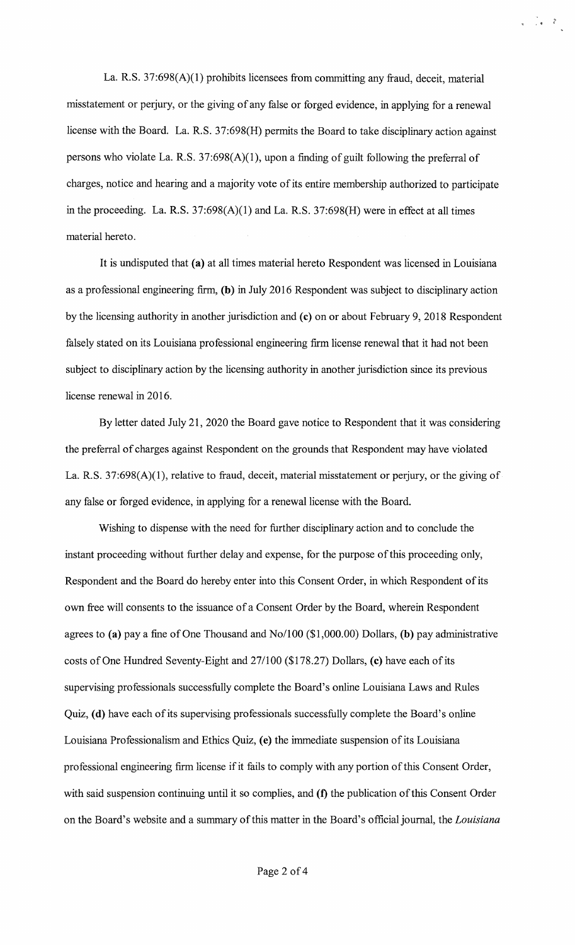La. R.S. 37:698(A)(l) prohibits licensees from committing any fraud, deceit, material misstatement or perjury, or the giving of any false or forged evidence, in applying for a renewal license with the Board. La. R.S. 37:698(H) permits the Board to take disciplinary action against persons who violate La. R.S.  $37:698(A)(1)$ , upon a finding of guilt following the preferral of charges, notice and hearing and a majority vote of its entire membership authorized to participate in the proceeding. La. R.S. 37:698(A)(l) and La. R.S. 37:698(H) were in effect at all times material hereto.

 $\frac{1}{\sqrt{2}}$  .

It is undisputed that **(a)** at all times material hereto Respondent was licensed in Louisiana as a professional engineering firm, **(b)** in July 2016 Respondent was subject to disciplinary action by the licensing authority in another jurisdiction and **(c)** on or about February 9, 2018 Respondent falsely stated on its Louisiana professional engineering firm license renewal that it had not been subject to disciplinary action by the licensing authority in another jurisdiction since its previous license renewal in 2016.

By letter dated July 21, 2020 the Board gave notice to Respondent that it was considering the preferral of charges against Respondent on the grounds that Respondent may have violated La. R.S. 37:698(A)(1), relative to fraud, deceit, material misstatement or perjury, or the giving of any false or forged evidence, in applying for a renewal license with the Board.

Wishing to dispense with the need for further disciplinary action and to conclude the instant proceeding without further delay and expense, for the purpose of this proceeding only, Respondent and the Board do hereby enter into this Consent Order, in which Respondent of its own free will consents to the issuance of a Consent Order by the Board, wherein Respondent agrees to **(a)** pay a fine of One Thousand and No/100 (\$1,000.00) Dollars, **(b)** pay administrative costs of One Hundred Seventy-Eight and 27/100 (\$178.27) Dollars, **(c)** have each of its supervising professionals successfully complete the Board's online Louisiana Laws and Rules Quiz, **(d)** have each of its supervising professionals successfully complete the Board's online Louisiana Professionalism and Ethics Quiz, **(e)** the immediate suspension of its Louisiana professional engineering firm license if it fails to comply with any portion of this Consent Order, with said suspension continuing until it so complies, and **(f)** the publication of this Consent Order on the Board's website and a summary of this matter in the Board's official journal, the *Louisiana*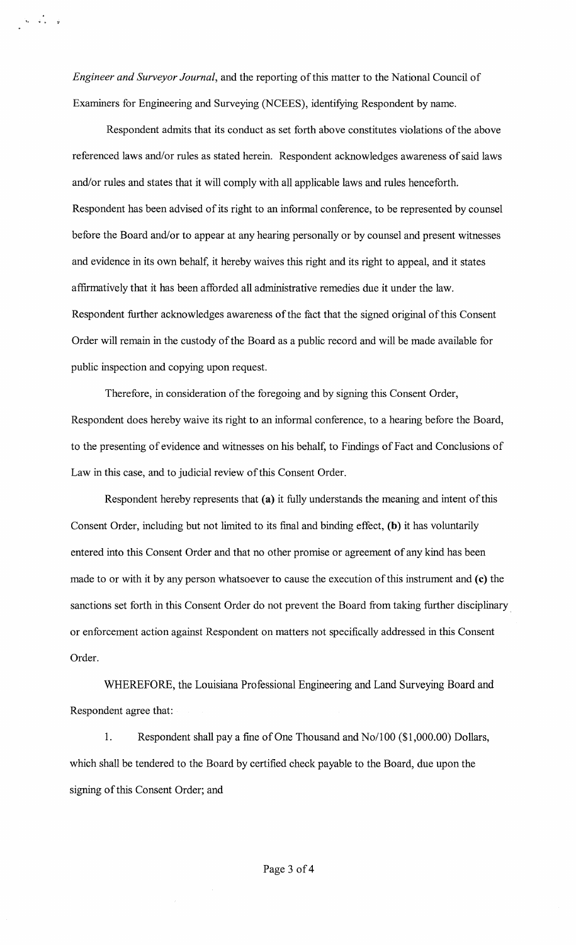*Engineer and Surveyor Journal,* and the reporting of this matter to the National Council of Examiners for Engineering and Surveying (NCEES), identifying Respondent by name.

 $\label{eq:1} \begin{array}{l} \hat{\mathbf{w}}_{\mathbf{w}} = \hat{\mathbf{w}}_{\mathbf{w}}^{\mathbf{w}} = \hat{\mathbf{w}}_{\mathbf{w}}^{\mathbf{w}} \end{array}$ 

Respondent admits that its conduct as set forth above constitutes violations of the above referenced laws and/or rules as stated herein. Respondent acknowledges awareness of said laws and/or rules and states that it will comply with all applicable laws and rules henceforth. Respondent has been advised of its right to an informal conference, to be represented by counsel before the Board and/or to appear at any hearing personally or by counsel and present witnesses and evidence in its own behalf, it hereby waives this right and its right to appeal, and it states affirmatively that it has been afforded all administrative remedies due it under the law. Respondent further acknowledges awareness of the fact that the signed original of this Consent Order will remain in the custody of the Board as a public record and will be made available for public inspection and copying upon request.

Therefore, in consideration of the foregoing and by signing this Consent Order, Respondent does hereby waive its right to an informal conference, to a hearing before the Board, to the presenting of evidence and witnesses on his behalf, to Findings of Fact and Conclusions of Law in this case, and to judicial review of this Consent Order.

Respondent hereby represents that **(a)** it fully understands the meaning and intent of this Consent Order, including but not limited to its final and binding effect, **(b)** it has voluntarily entered into this Consent Order and that no other promise or agreement of any kind has been made to or with it by any person whatsoever to cause the execution of this instrument and (c) the sanctions set forth in this Consent Order do not prevent the Board from taking further disciplinary or enforcement action against Respondent on matters not specifically addressed in this Consent Order.

WHEREFORE, the Louisiana Professional Engineering and Land Surveying Board and Respondent agree that:

1. Respondent shall pay a fine of One Thousand and No/100 (\$1,000.00) Dollars, which shall be tendered to the Board by certified check payable to the Board, due upon the signing of this Consent Order; and